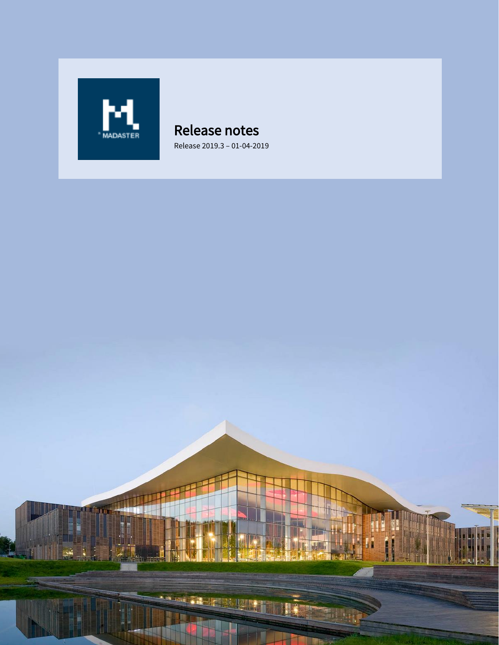

## Release notes Release 2019.3 – 01-04-2019

Halley . il L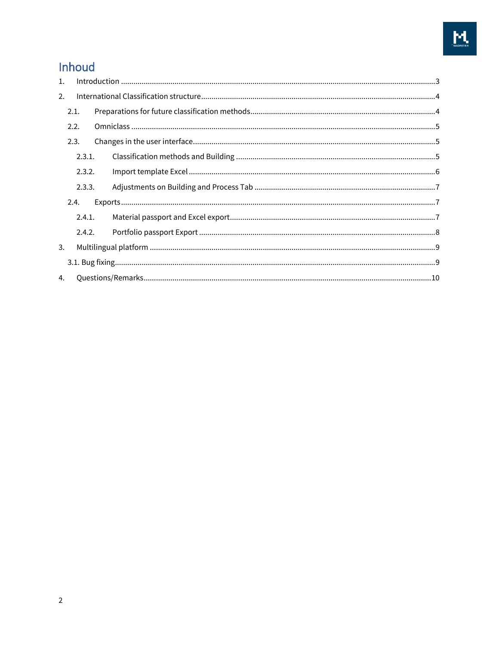# Inhoud

| $\mathbf{1}$ . |        |  |
|----------------|--------|--|
| 2.             |        |  |
|                | 2.1.   |  |
|                | 2.2.   |  |
|                | 2.3.   |  |
|                | 2.3.1. |  |
|                | 2.3.2. |  |
|                | 2.3.3. |  |
|                | 2.4.   |  |
|                | 2.4.1. |  |
|                | 2.4.2. |  |
| 3.             |        |  |
|                |        |  |
| 4.             |        |  |
|                |        |  |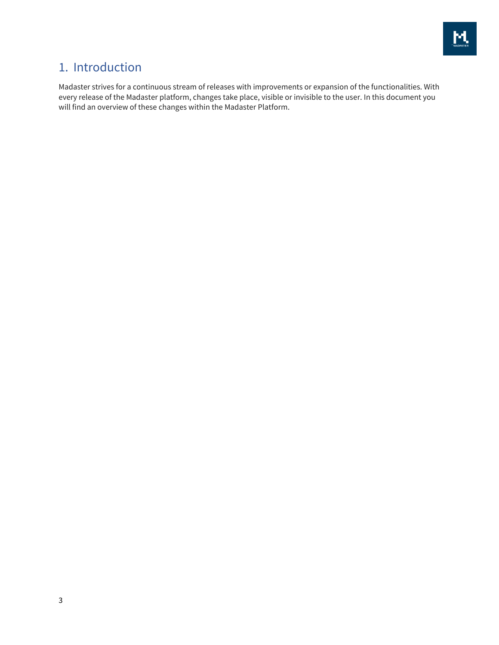

# <span id="page-2-0"></span>1. Introduction

Madaster strives for a continuous stream of releases with improvements or expansion of the functionalities. With every release of the Madaster platform, changes take place, visible or invisible to the user. In this document you will find an overview of these changes within the Madaster Platform.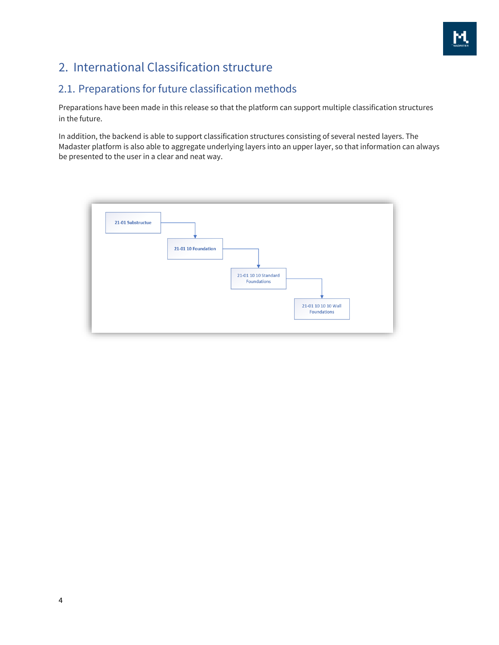

# <span id="page-3-0"></span>2. International Classification structure

## <span id="page-3-1"></span>2.1. Preparations for future classification methods

Preparations have been made in this release so that the platform can support multiple classification structures in the future.

In addition, the backend is able to support classification structures consisting of several nested layers. The Madaster platform is also able to aggregate underlying layers into an upper layer, so that information can always be presented to the user in a clear and neat way.

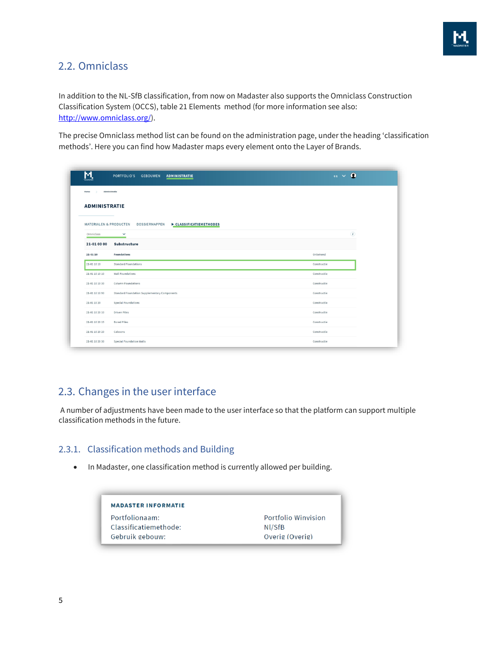

### <span id="page-4-0"></span>2.2. Omniclass

In addition to the NL-SfB classification, from now on Madaster also supports the Omniclass Construction Classification System (OCCS), table 21 Elements method (for more information see also: [http://www.omniclass.org/\)](http://www.omniclass.org/).

The precise Omniclass method list can be found on the administration page, under the heading 'classification methods'. Here you can find how Madaster maps every element onto the Layer of Brands.

| <u>м</u>                          | PORTFOLIO'S GEBOUWEN<br><b>ADMINISTRATIE</b>        | $\sim$ 0                   |
|-----------------------------------|-----------------------------------------------------|----------------------------|
| Administratie<br>Home             |                                                     |                            |
| <b>ADMINISTRATIE</b>              |                                                     |                            |
|                                   |                                                     |                            |
| <b>MATERIALEN &amp; PRODUCTEN</b> | <b>DOSSIERMAPPEN</b><br>CLASSIFICATIEMETHODES       |                            |
| Omniclass                         | $\checkmark$                                        | $\left( \mathbf{r}\right)$ |
| 21-01 00 00                       | Substructure                                        |                            |
| 21-01 10                          | <b>Foundations</b>                                  | Onbekend                   |
| 21-01 10 10                       | <b>Standard Foundations</b>                         | Constructie                |
| 21-01 10 10 10                    | <b>Wall Foundations</b>                             | Constructie                |
| 21-01 10 10 30                    | <b>Column Foundations</b>                           | Constructie                |
| 21-01 10 10 90                    | <b>Standard Foundation Supplementary Components</b> | Constructie                |
| 21-01 10 20                       | <b>Special Foundations</b>                          | Constructie                |
| 21-01 10 20 10                    | <b>Driven Piles</b>                                 | Constructie                |
| 21-01 10 20 15                    | <b>Bored Piles</b>                                  | Constructie                |
| 21-01 10 20 20                    | Caissons                                            | Constructie                |
|                                   |                                                     |                            |

## <span id="page-4-1"></span>2.3. Changes in the user interface

A number of adjustments have been made to the user interface so that the platform can support multiple classification methods in the future.

### <span id="page-4-2"></span>2.3.1. Classification methods and Building

• In Madaster, one classification method is currently allowed per building.

| <b>MADASTER INFORMATIE</b> |                     |
|----------------------------|---------------------|
| Portfolionaam:             | Portfolio Winvision |
| Classificatiemethode:      | NI/SfB              |
| Gebruik gebouw:            | Overig (Overig)     |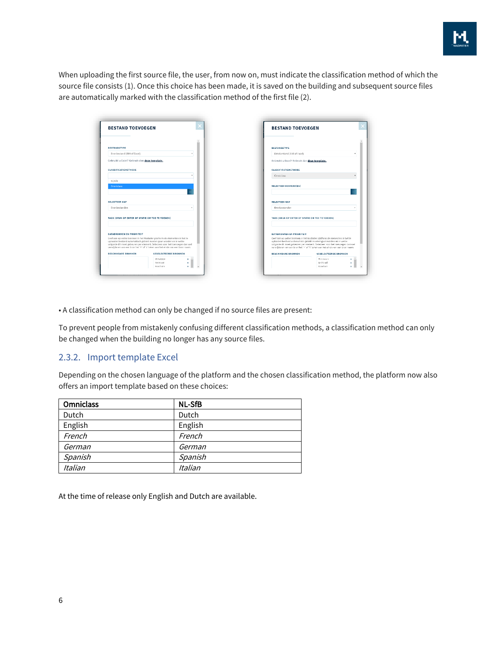

When uploading the first source file, the user, from now on, must indicate the classification method of which the source file consists (1). Once this choice has been made, it is saved on the building and subsequent source files are automatically marked with the classification method of the first file (2).

| <b>BESTAND TOEVOEGEN</b>                                                                                                                                                                                                                                                                                           | <b>BESTAND TOEVOEGEN</b>                                                                                                                                                                                                                                                                                           |
|--------------------------------------------------------------------------------------------------------------------------------------------------------------------------------------------------------------------------------------------------------------------------------------------------------------------|--------------------------------------------------------------------------------------------------------------------------------------------------------------------------------------------------------------------------------------------------------------------------------------------------------------------|
| <b>BESTANDSTYPE</b>                                                                                                                                                                                                                                                                                                | <b>BESTANDSTYPE</b>                                                                                                                                                                                                                                                                                                |
| Bronbestand (BIM of Excel)                                                                                                                                                                                                                                                                                         | Bronbestand (BIM of Excel)                                                                                                                                                                                                                                                                                         |
| Gebruikt u Excel? Gebruik dan deze template.                                                                                                                                                                                                                                                                       | Gebruikt u Excel? Gebruik dan deze template.                                                                                                                                                                                                                                                                       |
| <b>CLASSIFICATIEMETHODE</b>                                                                                                                                                                                                                                                                                        | CLASSIFICATIEMETHODE                                                                                                                                                                                                                                                                                               |
|                                                                                                                                                                                                                                                                                                                    | Omniclass                                                                                                                                                                                                                                                                                                          |
| NI/SfB<br><b>Omniclass</b>                                                                                                                                                                                                                                                                                         | SELECTEER BESTAND(EN)                                                                                                                                                                                                                                                                                              |
| <b>SELECTEER MAP</b>                                                                                                                                                                                                                                                                                               | <b>SELECTEER MAP</b>                                                                                                                                                                                                                                                                                               |
| Bronbestanden                                                                                                                                                                                                                                                                                                      | Bronbestanden                                                                                                                                                                                                                                                                                                      |
| TAGS (DRUK OP ENTER OF SPATIE OM TOE TE VOEGEN)                                                                                                                                                                                                                                                                    | TAGS (DRUK OP ENTER OF SPATIE OM TOE TE VOEGEN)                                                                                                                                                                                                                                                                    |
| <b>DATABRONNEN EN PRIORITEIT</b>                                                                                                                                                                                                                                                                                   | DATABRONNEN EN PRIORITEIT                                                                                                                                                                                                                                                                                          |
| Geef aan op welke bronnen in het Madaster platform de elementen in het te<br>uploaden bestand automatisch gelinkt moeten gaan worden en in welke<br>volgorde dit moet gebeuren per element. Selecteer voor het toevoegen dan wel<br>verwijderen van een bron het '+' of 'x' teken aan het einde van een bron naam. | Geef aan op welke bronnen in het Madaster platform de elementen in het te<br>uploaden bestand automatisch gelinkt moeten gaan worden en in welke<br>volgorde dit moet gebeuren per eiement. Selecteer voor het toevoegen dan wel<br>verwijderen van een bron het '+' of 'x' teken aan het einde van een bron naam. |
| <b>BESCHIKBARE BRONNEN</b><br><b>GESELECTEERDE BRONNEN</b>                                                                                                                                                                                                                                                         | <b>RESCHIKRARE RRONNEN</b><br><b>GESELECTEERDE BRONNEN</b>                                                                                                                                                                                                                                                         |
| Winvision<br>Archicad<br>x<br>Ecochain<br>x.                                                                                                                                                                                                                                                                       | Winvision<br>Archicad<br>Ecochain                                                                                                                                                                                                                                                                                  |

• A classification method can only be changed if no source files are present:

To prevent people from mistakenly confusing different classification methods, a classification method can only be changed when the building no longer has any source files.

#### <span id="page-5-0"></span>2.3.2. Import template Excel

Depending on the chosen language of the platform and the chosen classification method, the platform now also offers an import template based on these choices:

| <b>Omniclass</b> | <b>NL-SfB</b> |
|------------------|---------------|
| Dutch            | Dutch         |
| English          | English       |
| French           | French        |
| German           | German        |
| Spanish          | Spanish       |
| Italian          | Italian       |

At the time of release only English and Dutch are available.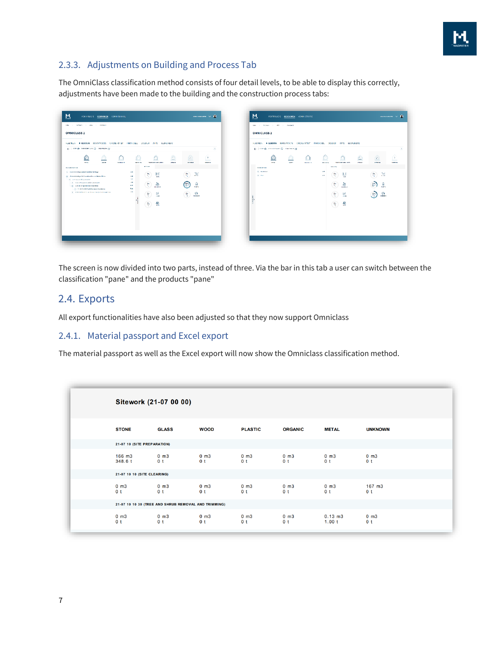

### <span id="page-6-0"></span>2.3.3. Adjustments on Building and Process Tab

The OmniClass classification method consists of four detail levels, to be able to display this correctly, adjustments have been made to the building and the construction process tabs:

| ALGEMEEN<br>BOUNPROCES CIRCULARITEIT FINANCIEL<br><b>F GEBOUW</b><br>← Internet © with an internet of                                                                                                                                                                                                                                                              |                                                                      |                | DOSSILE                               | <b>AFPS</b>                                               | <b>GEBRUIKERS</b> |                 |                                       | Φ       |  |
|--------------------------------------------------------------------------------------------------------------------------------------------------------------------------------------------------------------------------------------------------------------------------------------------------------------------------------------------------------------------|----------------------------------------------------------------------|----------------|---------------------------------------|-----------------------------------------------------------|-------------------|-----------------|---------------------------------------|---------|--|
| <b>CONTRACTOR</b><br>noma.<br><b>SERVICE</b>                                                                                                                                                                                                                                                                                                                       |                                                                      | D.<br>4941-045 |                                       | <b>TREASURE SETS LITTLE</b>                               | <b>CONTRACTOR</b> | <b>STORES</b>   |                                       | 008-213 |  |
| <b>CLASSIFICATION</b><br>> 33-05 00 00 Equipment and Furnishings<br>w - 25 m m m Kjerlal Construction and Benedition<br>$\left( \alpha \right)$ - and it is possible association<br>3 million to a contact said to concern as<br>. 2000 SEAS Special Instancepoints<br>- It Matzi et Full Norwell Nethelet<br>3 21 St Math Street, an West Court Spectator develop | 1.03<br>2 et<br>2 <sup>o</sup><br>1,95<br>6.65<br><b>Cast</b><br>432 |                | <b>MARINALE</b><br>ę,<br>ŧ,<br>뿊<br>읲 | 頥<br>'nн<br>霱<br><b>GEORGIA</b><br>1,6<br><b>HAY</b><br>옾 |                   | ٩v<br>200-<br>Ħ | 湿<br>g<br><b>KNIS</b><br>हो।<br>GERED |         |  |

|                                 | ( ) received the community ( ) therefore gain |            | ALGEMEEN INGEBOUW ROUNPROCES CIRCULARITEIT FINANCIEE, DOSSIER APPS GEBRUIKERS |                  |               |                           |              |                         | x              |
|---------------------------------|-----------------------------------------------|------------|-------------------------------------------------------------------------------|------------------|---------------|---------------------------|--------------|-------------------------|----------------|
|                                 | <b>MARK</b>                                   | <b>SEW</b> | создати                                                                       | <b>CALL LINE</b> |               | <b>DOMESTICS</b> HOVERING | <b>INCLA</b> | <b>Actual Avenue</b>    | <b>General</b> |
| PRODUCTION<br><b>S. FEDERAL</b> |                                               |            |                                                                               | <b>AM</b>        | <b>MILENE</b> |                           |              |                         |                |
| <b>All Press</b>                |                                               |            |                                                                               | <b>AM</b>        | Ð             | 国<br>m.                   |              | 364<br>M<br><b>WITH</b> |                |
|                                 |                                               |            |                                                                               |                  | ÷,            | 靐<br><b>GASES</b>         |              | 盟<br>.≞.                |                |
|                                 |                                               |            |                                                                               |                  | 誓             | 区<br>2341                 |              | ्ति<br>भारत             |                |
|                                 |                                               |            |                                                                               |                  | 萼             | 옾                         |              |                         |                |
|                                 |                                               |            |                                                                               |                  |               |                           |              |                         |                |

The screen is now divided into two parts, instead of three. Via the bar in this tab a user can switch between the classification "pane" and the products "pane"

### <span id="page-6-1"></span>2.4. Exports

All export functionalities have also been adjusted so that they now support Omniclass

#### <span id="page-6-2"></span>2.4.1. Material passport and Excel export

The material passport as well as the Excel export will now show the Omniclass classification method.

|                             | Sitework (21-07 00 00)                               |                                     |                                     |                             |                                     |                                     |
|-----------------------------|------------------------------------------------------|-------------------------------------|-------------------------------------|-----------------------------|-------------------------------------|-------------------------------------|
| <b>STONE</b>                | <b>GLASS</b>                                         | <b>WOOD</b>                         | <b>PLASTIC</b>                      | <b>ORGANIC</b>              | <b>METAL</b>                        | <b>UNKNOWN</b>                      |
| 21-07 10 (SITE PREPARATION) |                                                      |                                     |                                     |                             |                                     |                                     |
| $166$ m $3$<br>348.6 t      | $0 \, m3$<br>0 <sub>t</sub>                          | $0 \, \text{m}$ 3<br>0 <sub>t</sub> | $0 \, \text{m}$ 3<br>0 <sub>t</sub> | $0 \, m3$<br>0 <sub>t</sub> | $0 \, \text{m}$ 3<br>0 <sub>t</sub> | $0 \, \text{m}$ 3<br>0 <sub>t</sub> |
| 21-07 10 10 (SITE CLEARING) |                                                      |                                     |                                     |                             |                                     |                                     |
| $0 \, m3$<br>0 <sub>t</sub> | $0 \, \text{m}$ 3<br>0 <sub>t</sub>                  | $0 \, m3$<br>0 <sup>t</sup>         | $0 \, \text{m}$ 3<br>0 <sub>t</sub> | $0 \, m3$<br>0 <sub>t</sub> | $0 \, \text{m}$ 3<br>0 <sup>t</sup> | $167 \text{ m}3$<br>0 <sub>t</sub>  |
|                             | 21-07 10 10 30 (TREE AND SHRUB REMOVAL AND TRIMMING) |                                     |                                     |                             |                                     |                                     |
| $0 \, m3$<br>0 <sub>t</sub> | $0 \, m3$<br>0 <sub>t</sub>                          | $0 \, m3$<br>0 <sub>t</sub>         | $0 \, \text{m}$ 3<br>0 <sub>t</sub> | $0 \, m3$<br>0 <sub>t</sub> | $0.13 \, m3$<br>1.00 t              | $0 \, m3$<br>0 <sub>t</sub>         |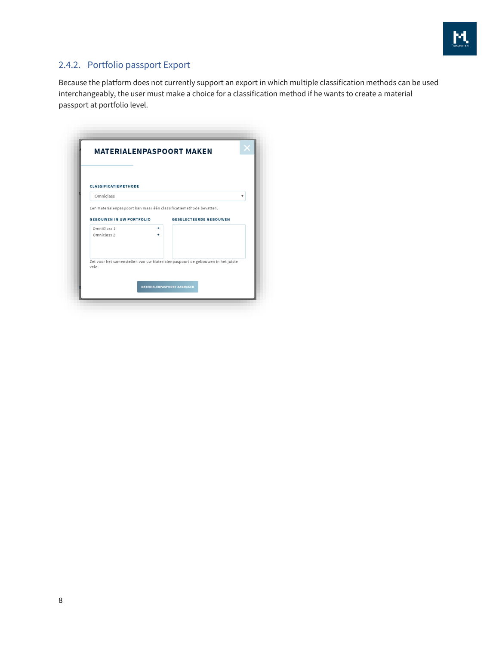

### <span id="page-7-0"></span>2.4.2. Portfolio passport Export

Because the platform does not currently support an export in which multiple classification methods can be used interchangeably, the user must make a choice for a classification method if he wants to create a material passport at portfolio level.

| <b>MATERIALENPASPOORT MAKEN</b>                                                        |        |                                    |   |
|----------------------------------------------------------------------------------------|--------|------------------------------------|---|
| <b>CLASSIFICATIEMETHODE</b>                                                            |        |                                    |   |
| Omniclass                                                                              |        |                                    | ▼ |
| Een Materialenpaspoort kan maar één classificatiemethode bevatten.                     |        |                                    |   |
| <b>GEBOUWEN IN UW PORTFOLIO</b>                                                        |        | <b>GESELECTEERDE GEBOUWEN</b>      |   |
| OmniClass 1<br>Omniclass 2                                                             | ÷<br>÷ |                                    |   |
| Zet voor het samenstellen van uw Materialenpaspoort de gebouwen in het juiste<br>veld. |        |                                    |   |
|                                                                                        |        | <b>MATERIALENPASPOORT AANMAKEN</b> |   |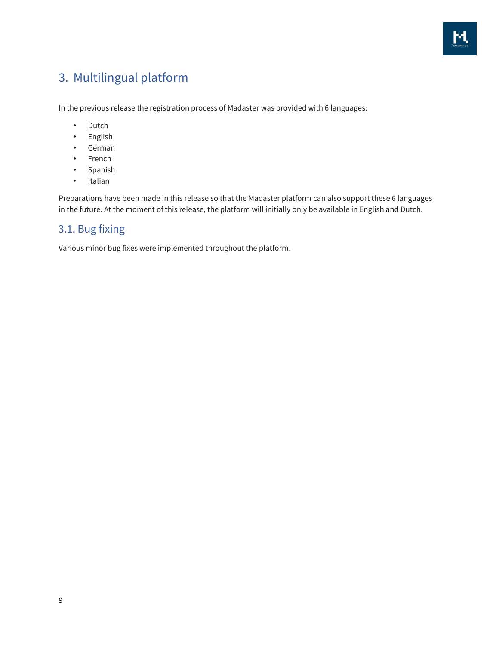

# <span id="page-8-0"></span>3. Multilingual platform

In the previous release the registration process of Madaster was provided with 6 languages:

- Dutch
- English
- German
- French
- Spanish
- Italian

Preparations have been made in this release so that the Madaster platform can also support these 6 languages in the future. At the moment of this release, the platform will initially only be available in English and Dutch.

## <span id="page-8-1"></span>3.1. Bug fixing

Various minor bug fixes were implemented throughout the platform.